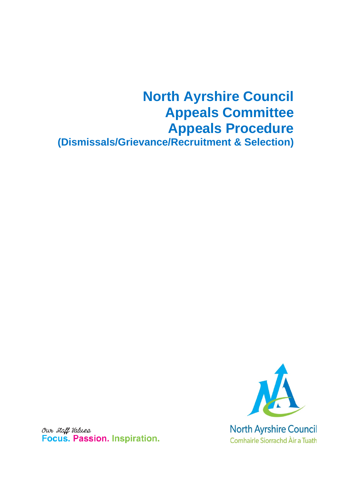# **North Ayrshire Council Appeals Committee Appeals Procedure (Dismissals/Grievance/Recruitment & Selection)**



Our Staff Values Focus. Passion. Inspiration.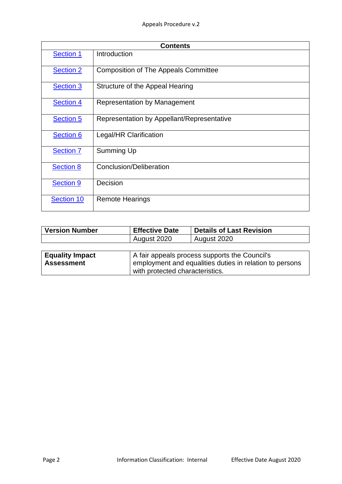| <b>Contents</b>  |                                             |  |
|------------------|---------------------------------------------|--|
| <b>Section 1</b> | Introduction                                |  |
| <b>Section 2</b> | <b>Composition of The Appeals Committee</b> |  |
| <b>Section 3</b> | Structure of the Appeal Hearing             |  |
| <b>Section 4</b> | <b>Representation by Management</b>         |  |
| <b>Section 5</b> | Representation by Appellant/Representative  |  |
| <b>Section 6</b> | Legal/HR Clarification                      |  |
| <b>Section 7</b> | Summing Up                                  |  |
| <b>Section 8</b> | Conclusion/Deliberation                     |  |
| <b>Section 9</b> | Decision                                    |  |
| Section 10       | <b>Remote Hearings</b>                      |  |

| <b>Version Number</b>  | <b>Effective Date</b>                                   | <b>Details of Last Revision</b> |  |
|------------------------|---------------------------------------------------------|---------------------------------|--|
|                        | August 2020                                             | August 2020                     |  |
|                        |                                                         |                                 |  |
| <b>Equality Impact</b> | A fair appeals process supports the Council's           |                                 |  |
| <b>Assessment</b>      | employment and equalities duties in relation to persons |                                 |  |
|                        | with protected characteristics.                         |                                 |  |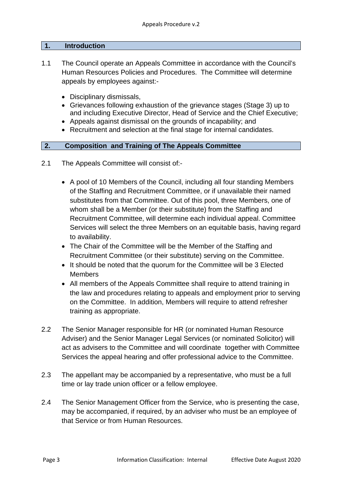#### <span id="page-2-0"></span>**1. Introduction**

- 1.1 The Council operate an Appeals Committee in accordance with the Council's Human Resources Policies and Procedures. The Committee will determine appeals by employees against:-
	- Disciplinary dismissals,
	- Grievances following exhaustion of the grievance stages (Stage 3) up to and including Executive Director, Head of Service and the Chief Executive;
	- Appeals against dismissal on the grounds of incapability; and
	- Recruitment and selection at the final stage for internal candidates.

## <span id="page-2-1"></span>**2. Composition and Training of The Appeals Committee**

- 2.1 The Appeals Committee will consist of:-
	- A pool of 10 Members of the Council, including all four standing Members of the Staffing and Recruitment Committee, or if unavailable their named substitutes from that Committee. Out of this pool, three Members, one of whom shall be a Member (or their substitute) from the Staffing and Recruitment Committee, will determine each individual appeal. Committee Services will select the three Members on an equitable basis, having regard to availability.
	- The Chair of the Committee will be the Member of the Staffing and Recruitment Committee (or their substitute) serving on the Committee.
	- It should be noted that the quorum for the Committee will be 3 Elected Members
	- All members of the Appeals Committee shall require to attend training in the law and procedures relating to appeals and employment prior to serving on the Committee. In addition, Members will require to attend refresher training as appropriate.
- 2.2 The Senior Manager responsible for HR (or nominated Human Resource Adviser) and the Senior Manager Legal Services (or nominated Solicitor) will act as advisers to the Committee and will coordinate together with Committee Services the appeal hearing and offer professional advice to the Committee.
- 2.3 The appellant may be accompanied by a representative, who must be a full time or lay trade union officer or a fellow employee.
- 2.4 The Senior Management Officer from the Service, who is presenting the case, may be accompanied, if required, by an adviser who must be an employee of that Service or from Human Resources.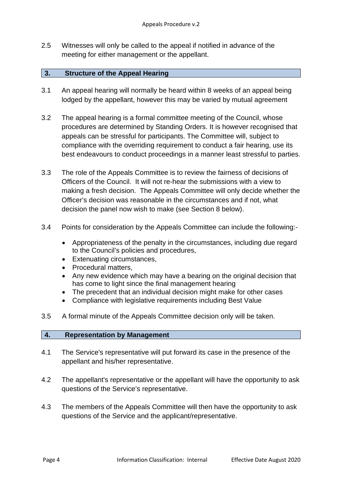2.5 Witnesses will only be called to the appeal if notified in advance of the meeting for either management or the appellant.

## <span id="page-3-0"></span>**3. Structure of the Appeal Hearing**

- 3.1 An appeal hearing will normally be heard within 8 weeks of an appeal being lodged by the appellant, however this may be varied by mutual agreement
- 3.2 The appeal hearing is a formal committee meeting of the Council, whose procedures are determined by Standing Orders. It is however recognised that appeals can be stressful for participants. The Committee will, subject to compliance with the overriding requirement to conduct a fair hearing, use its best endeavours to conduct proceedings in a manner least stressful to parties.
- 3.3 The role of the Appeals Committee is to review the fairness of decisions of Officers of the Council. It will not re-hear the submissions with a view to making a fresh decision. The Appeals Committee will only decide whether the Officer's decision was reasonable in the circumstances and if not, what decision the panel now wish to make (see Section 8 below).
- 3.4 Points for consideration by the Appeals Committee can include the following:-
	- Appropriateness of the penalty in the circumstances, including due regard to the Council's policies and procedures,
	- Extenuating circumstances,
	- Procedural matters,
	- Any new evidence which may have a bearing on the original decision that has come to light since the final management hearing
	- The precedent that an individual decision might make for other cases
	- Compliance with legislative requirements including Best Value
- 3.5 A formal minute of the Appeals Committee decision only will be taken.

### <span id="page-3-1"></span>**4. Representation by Management**

- 4.1 The Service's representative will put forward its case in the presence of the appellant and his/her representative.
- 4.2 The appellant's representative or the appellant will have the opportunity to ask questions of the Service's representative.
- 4.3 The members of the Appeals Committee will then have the opportunity to ask questions of the Service and the applicant/representative.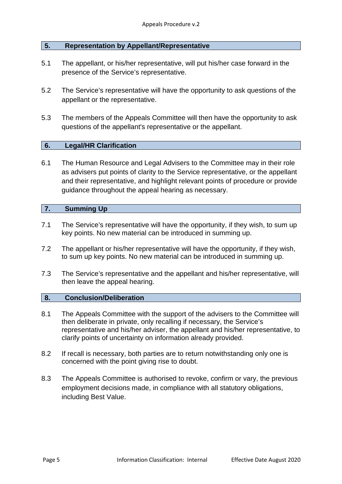### <span id="page-4-0"></span>**5. Representation by Appellant/Representative**

- 5.1 The appellant, or his/her representative, will put his/her case forward in the presence of the Service's representative.
- 5.2 The Service's representative will have the opportunity to ask questions of the appellant or the representative.
- 5.3 The members of the Appeals Committee will then have the opportunity to ask questions of the appellant's representative or the appellant.

## <span id="page-4-1"></span>**6. Legal/HR Clarification**

6.1 The Human Resource and Legal Advisers to the Committee may in their role as advisers put points of clarity to the Service representative, or the appellant and their representative, and highlight relevant points of procedure or provide guidance throughout the appeal hearing as necessary.

## <span id="page-4-2"></span>**7. Summing Up**

- 7.1 The Service's representative will have the opportunity, if they wish, to sum up key points. No new material can be introduced in summing up.
- 7.2 The appellant or his/her representative will have the opportunity, if they wish, to sum up key points. No new material can be introduced in summing up.
- 7.3 The Service's representative and the appellant and his/her representative, will then leave the appeal hearing.

### <span id="page-4-3"></span>**8. Conclusion/Deliberation**

- 8.1 The Appeals Committee with the support of the advisers to the Committee will then deliberate in private, only recalling if necessary, the Service's representative and his/her adviser, the appellant and his/her representative, to clarify points of uncertainty on information already provided.
- 8.2 If recall is necessary, both parties are to return notwithstanding only one is concerned with the point giving rise to doubt.
- 8.3 The Appeals Committee is authorised to revoke, confirm or vary, the previous employment decisions made, in compliance with all statutory obligations, including Best Value.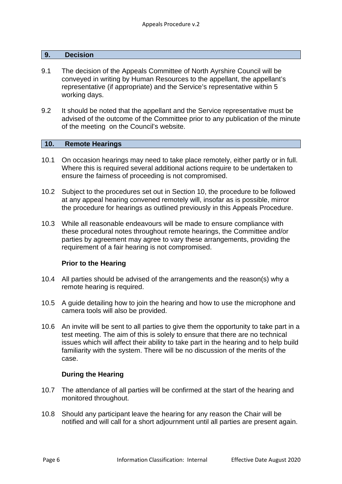#### <span id="page-5-0"></span>**9. Decision**

- 9.1 The decision of the Appeals Committee of North Ayrshire Council will be conveyed in writing by Human Resources to the appellant, the appellant's representative (if appropriate) and the Service's representative within 5 working days.
- 9.2 It should be noted that the appellant and the Service representative must be advised of the outcome of the Committee prior to any publication of the minute of the meeting on the Council's website.

### <span id="page-5-1"></span>**10. Remote Hearings**

- 10.1 On occasion hearings may need to take place remotely, either partly or in full. Where this is required several additional actions require to be undertaken to ensure the fairness of proceeding is not compromised.
- 10.2 Subject to the procedures set out in Section 10, the procedure to be followed at any appeal hearing convened remotely will, insofar as is possible, mirror the procedure for hearings as outlined previously in this Appeals Procedure.
- 10.3 While all reasonable endeavours will be made to ensure compliance with these procedural notes throughout remote hearings, the Committee and/or parties by agreement may agree to vary these arrangements, providing the requirement of a fair hearing is not compromised.

### **Prior to the Hearing**

- 10.4 All parties should be advised of the arrangements and the reason(s) why a remote hearing is required.
- 10.5 A guide detailing how to join the hearing and how to use the microphone and camera tools will also be provided.
- 10.6 An invite will be sent to all parties to give them the opportunity to take part in a test meeting. The aim of this is solely to ensure that there are no technical issues which will affect their ability to take part in the hearing and to help build familiarity with the system. There will be no discussion of the merits of the case.

## **During the Hearing**

- 10.7 The attendance of all parties will be confirmed at the start of the hearing and monitored throughout.
- 10.8 Should any participant leave the hearing for any reason the Chair will be notified and will call for a short adjournment until all parties are present again.